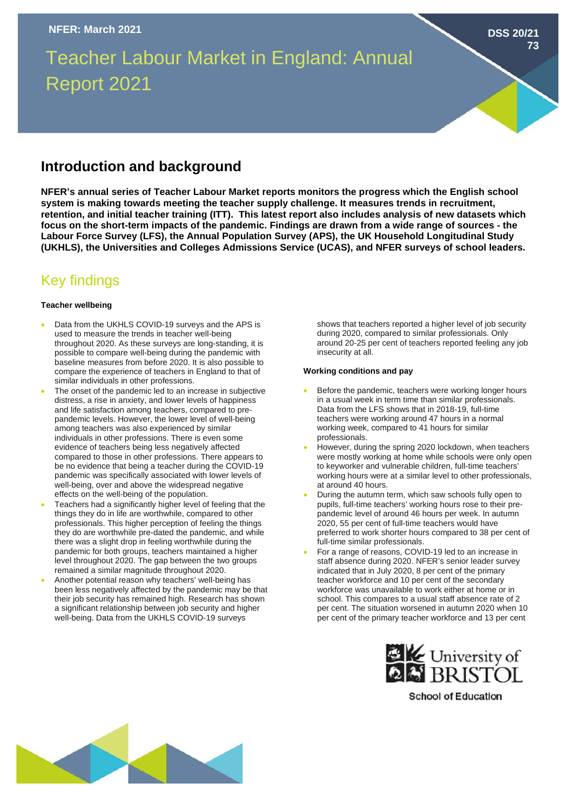# Teacher Labour Market in England: Annual Report 2021

### **Introduction and background**

**NFER's annual series of Teacher Labour Market reports monitors the progress which the English school system is making towards meeting the teacher supply challenge. It measures trends in recruitment, retention, and initial teacher training (ITT). This latest report also includes analysis of new datasets which focus on the short-term impacts of the pandemic. Findings are drawn from a wide range of sources - the Labour Force Survey (LFS), the Annual Population Survey (APS), the UK Household Longitudinal Study (UKHLS), the Universities and Colleges Admissions Service (UCAS), and NFER surveys of school leaders.**

## Key findings

#### **Teacher wellbeing**

- Data from the UKHLS COVID-19 surveys and the APS is used to measure the trends in teacher well-being throughout 2020. As these surveys are long-standing, it is possible to compare well-being during the pandemic with baseline measures from before 2020. It is also possible to compare the experience of teachers in England to that of similar individuals in other professions.
- The onset of the pandemic led to an increase in subjective distress, a rise in anxiety, and lower levels of happiness and life satisfaction among teachers, compared to prepandemic levels. However, the lower level of well-being among teachers was also experienced by similar individuals in other professions. There is even some evidence of teachers being less negatively affected compared to those in other professions. There appears to be no evidence that being a teacher during the COVID-19 pandemic was specifically associated with lower levels of well-being, over and above the widespread negative effects on the well-being of the population.
- Teachers had a significantly higher level of feeling that the things they do in life are worthwhile, compared to other professionals. This higher perception of feeling the things they do are worthwhile pre-dated the pandemic, and while there was a slight drop in feeling worthwhile during the pandemic for both groups, teachers maintained a higher level throughout 2020. The gap between the two groups remained a similar magnitude throughout 2020.
- Another potential reason why teachers' well-being has been less negatively affected by the pandemic may be that their job security has remained high. Research has shown a significant relationship between job security and higher well-being. Data from the UKHLS COVID-19 surveys

shows that teachers reported a higher level of job security during 2020, compared to similar professionals. Only around 20-25 per cent of teachers reported feeling any job insecurity at all.

**DSS 20/21**

**73**

#### **Working conditions and pay**

- Before the pandemic, teachers were working longer hours in a usual week in term time than similar professionals. Data from the LFS shows that in 2018-19, full-time teachers were working around 47 hours in a normal working week, compared to 41 hours for similar professionals.
- However, during the spring 2020 lockdown, when teachers were mostly working at home while schools were only open to keyworker and vulnerable children, full-time teachers' working hours were at a similar level to other professionals, at around 40 hours.
- During the autumn term, which saw schools fully open to pupils, full-time teachers' working hours rose to their prepandemic level of around 46 hours per week. In autumn 2020, 55 per cent of full-time teachers would have preferred to work shorter hours compared to 38 per cent of full-time similar professionals.
- For a range of reasons, COVID-19 led to an increase in staff absence during 2020. NFER's senior leader survey indicated that in July 2020, 8 per cent of the primary teacher workforce and 10 per cent of the secondary workforce was unavailable to work either at home or in school. This compares to a usual staff absence rate of 2 per cent. The situation worsened in autumn 2020 when 10 per cent of the primary teacher workforce and 13 per cent



**School of Education**